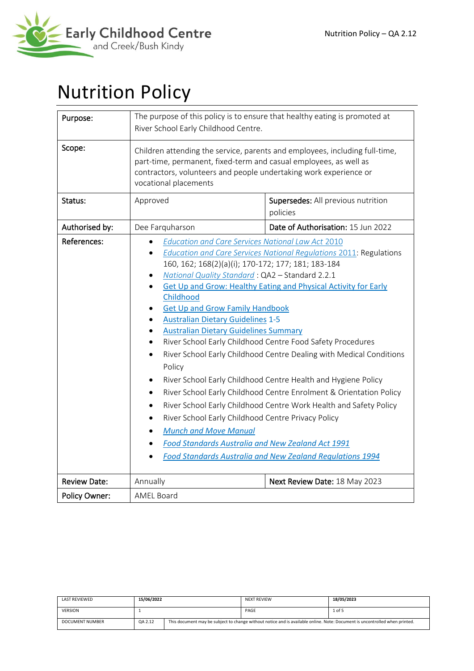

# Nutrition Policy

| Purpose:            | The purpose of this policy is to ensure that healthy eating is promoted at<br>River School Early Childhood Centre.                                                                                                                                                                                                                                                                                                                                                                                                                         |                                                                                                                                                                                                                                                                                                                                                                                                                                                                                                                                                            |  |  |
|---------------------|--------------------------------------------------------------------------------------------------------------------------------------------------------------------------------------------------------------------------------------------------------------------------------------------------------------------------------------------------------------------------------------------------------------------------------------------------------------------------------------------------------------------------------------------|------------------------------------------------------------------------------------------------------------------------------------------------------------------------------------------------------------------------------------------------------------------------------------------------------------------------------------------------------------------------------------------------------------------------------------------------------------------------------------------------------------------------------------------------------------|--|--|
| Scope:              | Children attending the service, parents and employees, including full-time,<br>part-time, permanent, fixed-term and casual employees, as well as<br>contractors, volunteers and people undertaking work experience or<br>vocational placements                                                                                                                                                                                                                                                                                             |                                                                                                                                                                                                                                                                                                                                                                                                                                                                                                                                                            |  |  |
| Status:             | Approved                                                                                                                                                                                                                                                                                                                                                                                                                                                                                                                                   | Supersedes: All previous nutrition<br>policies                                                                                                                                                                                                                                                                                                                                                                                                                                                                                                             |  |  |
| Authorised by:      | Dee Farquharson                                                                                                                                                                                                                                                                                                                                                                                                                                                                                                                            | Date of Authorisation: 15 Jun 2022                                                                                                                                                                                                                                                                                                                                                                                                                                                                                                                         |  |  |
| References:         | <b>Education and Care Services National Law Act 2010</b><br>160, 162; 168(2)(a)(i); 170-172; 177; 181; 183-184<br>National Quality Standard: QA2 - Standard 2.2.1<br>Childhood<br><b>Get Up and Grow Family Handbook</b><br><b>Australian Dietary Guidelines 1-5</b><br><b>Australian Dietary Guidelines Summary</b><br>$\bullet$<br>Policy<br>$\bullet$<br>$\bullet$<br>$\bullet$<br>River School Early Childhood Centre Privacy Policy<br>$\bullet$<br><b>Munch and Move Manual</b><br>Food Standards Australia and New Zealand Act 1991 | Education and Care Services National Regulations 2011: Regulations<br><b>Get Up and Grow: Healthy Eating and Physical Activity for Early</b><br>River School Early Childhood Centre Food Safety Procedures<br>River School Early Childhood Centre Dealing with Medical Conditions<br>River School Early Childhood Centre Health and Hygiene Policy<br>River School Early Childhood Centre Enrolment & Orientation Policy<br>River School Early Childhood Centre Work Health and Safety Policy<br>Food Standards Australia and New Zealand Regulations 1994 |  |  |
| <b>Review Date:</b> | Annually                                                                                                                                                                                                                                                                                                                                                                                                                                                                                                                                   | Next Review Date: 18 May 2023                                                                                                                                                                                                                                                                                                                                                                                                                                                                                                                              |  |  |
| Policy Owner:       | <b>AMEL Board</b>                                                                                                                                                                                                                                                                                                                                                                                                                                                                                                                          |                                                                                                                                                                                                                                                                                                                                                                                                                                                                                                                                                            |  |  |

| LAST REVIEWED          | 15/06/2022 |                                                                                                                             | <b>NEXT REVIEW</b> | 18/05/2023 |
|------------------------|------------|-----------------------------------------------------------------------------------------------------------------------------|--------------------|------------|
| <b>VERSION</b>         |            |                                                                                                                             | PAGE               | 1 of 5     |
| <b>DOCUMENT NUMBER</b> | QA 2.12    | This document may be subject to change without notice and is available online. Note: Document is uncontrolled when printed. |                    |            |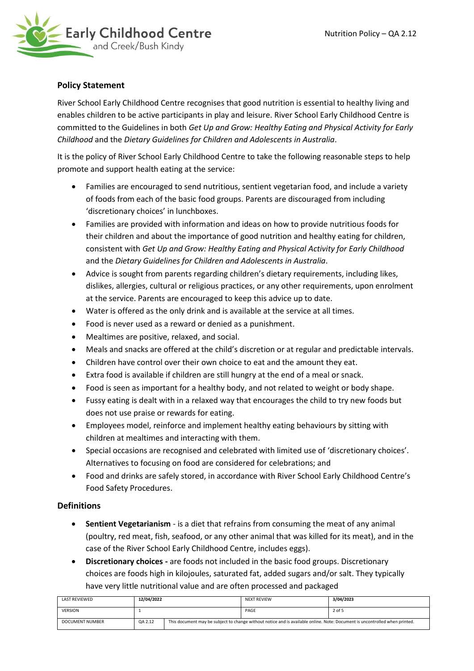

# **Policy Statement**

River School Early Childhood Centre recognises that good nutrition is essential to healthy living and enables children to be active participants in play and leisure. River School Early Childhood Centre is committed to the Guidelines in both *Get Up and Grow: Healthy Eating and Physical Activity for Early Childhood* and the *Dietary Guidelines for Children and Adolescents in Australia*.

It is the policy of River School Early Childhood Centre to take the following reasonable steps to help promote and support health eating at the service:

- Families are encouraged to send nutritious, sentient vegetarian food, and include a variety of foods from each of the basic food groups. Parents are discouraged from including 'discretionary choices' in lunchboxes.
- Families are provided with information and ideas on how to provide nutritious foods for their children and about the importance of good nutrition and healthy eating for children, consistent with *Get Up and Grow: Healthy Eating and Physical Activity for Early Childhood* and the *Dietary Guidelines for Children and Adolescents in Australia*.
- Advice is sought from parents regarding children's dietary requirements, including likes, dislikes, allergies, cultural or religious practices, or any other requirements, upon enrolment at the service. Parents are encouraged to keep this advice up to date.
- Water is offered as the only drink and is available at the service at all times.
- Food is never used as a reward or denied as a punishment.
- Mealtimes are positive, relaxed, and social.
- Meals and snacks are offered at the child's discretion or at regular and predictable intervals.
- Children have control over their own choice to eat and the amount they eat.
- Extra food is available if children are still hungry at the end of a meal or snack.
- Food is seen as important for a healthy body, and not related to weight or body shape.
- Fussy eating is dealt with in a relaxed way that encourages the child to try new foods but does not use praise or rewards for eating.
- Employees model, reinforce and implement healthy eating behaviours by sitting with children at mealtimes and interacting with them.
- Special occasions are recognised and celebrated with limited use of 'discretionary choices'. Alternatives to focusing on food are considered for celebrations; and
- Food and drinks are safely stored, in accordance with River School Early Childhood Centre's Food Safety Procedures.

# **Definitions**

- **Sentient Vegetarianism**  is a diet that refrains from consuming the meat of any animal (poultry, red meat, fish, seafood, or any other animal that was killed for its meat), and in the case of the River School Early Childhood Centre, includes eggs).
- **Discretionary choices -** are foods not included in the basic food groups. Discretionary choices are foods high in kilojoules, saturated fat, added sugars and/or salt. They typically have very little nutritional value and are often processed and packaged

| LAST REVIEWED          | 12/04/2022 |                                                                                                                             | <b>NEXT REVIEW</b> | 3/04/2023 |
|------------------------|------------|-----------------------------------------------------------------------------------------------------------------------------|--------------------|-----------|
| <b>VERSION</b>         |            |                                                                                                                             | PAGE               | 2 of 5    |
| <b>DOCUMENT NUMBER</b> | QA 2.12    | This document may be subject to change without notice and is available online. Note: Document is uncontrolled when printed. |                    |           |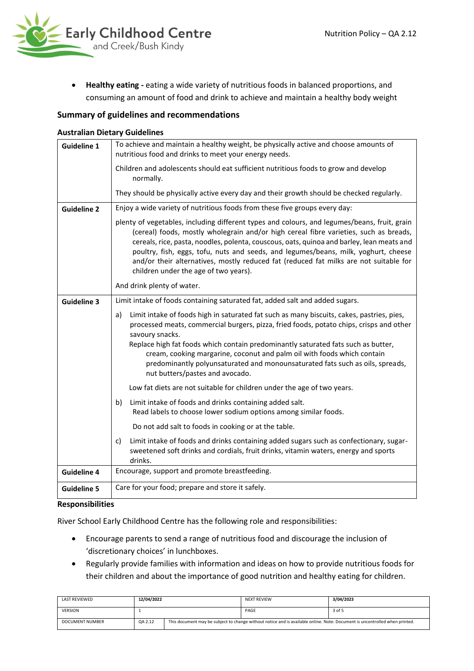

• **Healthy eating -** eating a wide variety of nutritious foods in balanced proportions, and consuming an amount of food and drink to achieve and maintain a healthy body weight

# **Summary of guidelines and recommendations**

#### **Australian Dietary Guidelines**

| <b>Guideline 1</b> | To achieve and maintain a healthy weight, be physically active and choose amounts of<br>nutritious food and drinks to meet your energy needs.                                                                                                                                                                                                                                                                                                                                                               |  |  |  |
|--------------------|-------------------------------------------------------------------------------------------------------------------------------------------------------------------------------------------------------------------------------------------------------------------------------------------------------------------------------------------------------------------------------------------------------------------------------------------------------------------------------------------------------------|--|--|--|
|                    | Children and adolescents should eat sufficient nutritious foods to grow and develop<br>normally.                                                                                                                                                                                                                                                                                                                                                                                                            |  |  |  |
|                    | They should be physically active every day and their growth should be checked regularly.                                                                                                                                                                                                                                                                                                                                                                                                                    |  |  |  |
| <b>Guideline 2</b> | Enjoy a wide variety of nutritious foods from these five groups every day:                                                                                                                                                                                                                                                                                                                                                                                                                                  |  |  |  |
|                    | plenty of vegetables, including different types and colours, and legumes/beans, fruit, grain<br>(cereal) foods, mostly wholegrain and/or high cereal fibre varieties, such as breads,<br>cereals, rice, pasta, noodles, polenta, couscous, oats, quinoa and barley, lean meats and<br>poultry, fish, eggs, tofu, nuts and seeds, and legumes/beans, milk, yoghurt, cheese<br>and/or their alternatives, mostly reduced fat (reduced fat milks are not suitable for<br>children under the age of two years). |  |  |  |
|                    | And drink plenty of water.                                                                                                                                                                                                                                                                                                                                                                                                                                                                                  |  |  |  |
| <b>Guideline 3</b> | Limit intake of foods containing saturated fat, added salt and added sugars.                                                                                                                                                                                                                                                                                                                                                                                                                                |  |  |  |
|                    | Limit intake of foods high in saturated fat such as many biscuits, cakes, pastries, pies,<br>a)<br>processed meats, commercial burgers, pizza, fried foods, potato chips, crisps and other<br>savoury snacks.                                                                                                                                                                                                                                                                                               |  |  |  |
|                    | Replace high fat foods which contain predominantly saturated fats such as butter,<br>cream, cooking margarine, coconut and palm oil with foods which contain<br>predominantly polyunsaturated and monounsaturated fats such as oils, spreads,<br>nut butters/pastes and avocado.                                                                                                                                                                                                                            |  |  |  |
|                    | Low fat diets are not suitable for children under the age of two years.                                                                                                                                                                                                                                                                                                                                                                                                                                     |  |  |  |
|                    | Limit intake of foods and drinks containing added salt.<br>b)<br>Read labels to choose lower sodium options among similar foods.                                                                                                                                                                                                                                                                                                                                                                            |  |  |  |
|                    | Do not add salt to foods in cooking or at the table.                                                                                                                                                                                                                                                                                                                                                                                                                                                        |  |  |  |
|                    | Limit intake of foods and drinks containing added sugars such as confectionary, sugar-<br>c)<br>sweetened soft drinks and cordials, fruit drinks, vitamin waters, energy and sports<br>drinks.                                                                                                                                                                                                                                                                                                              |  |  |  |
| <b>Guideline 4</b> | Encourage, support and promote breastfeeding.                                                                                                                                                                                                                                                                                                                                                                                                                                                               |  |  |  |
| <b>Guideline 5</b> | Care for your food; prepare and store it safely.                                                                                                                                                                                                                                                                                                                                                                                                                                                            |  |  |  |

#### **Responsibilities**

River School Early Childhood Centre has the following role and responsibilities:

- Encourage parents to send a range of nutritious food and discourage the inclusion of 'discretionary choices' in lunchboxes.
- Regularly provide families with information and ideas on how to provide nutritious foods for their children and about the importance of good nutrition and healthy eating for children.

| LAST REVIEWED   | 12/04/2022 |                                                                                                                             | <b>NEXT REVIEW</b> | 3/04/2023 |
|-----------------|------------|-----------------------------------------------------------------------------------------------------------------------------|--------------------|-----------|
| <b>VERSION</b>  |            |                                                                                                                             | PAGE               | 3 of 5    |
| DOCUMENT NUMBER | QA 2.12    | This document may be subject to change without notice and is available online. Note: Document is uncontrolled when printed. |                    |           |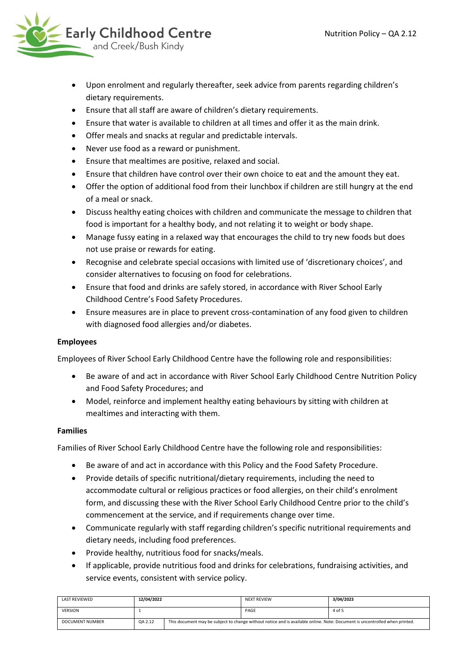

- Upon enrolment and regularly thereafter, seek advice from parents regarding children's dietary requirements.
- Ensure that all staff are aware of children's dietary requirements.
- Ensure that water is available to children at all times and offer it as the main drink.
- Offer meals and snacks at regular and predictable intervals.
- Never use food as a reward or punishment.
- Ensure that mealtimes are positive, relaxed and social.
- Ensure that children have control over their own choice to eat and the amount they eat.
- Offer the option of additional food from their lunchbox if children are still hungry at the end of a meal or snack.
- Discuss healthy eating choices with children and communicate the message to children that food is important for a healthy body, and not relating it to weight or body shape.
- Manage fussy eating in a relaxed way that encourages the child to try new foods but does not use praise or rewards for eating.
- Recognise and celebrate special occasions with limited use of 'discretionary choices', and consider alternatives to focusing on food for celebrations.
- Ensure that food and drinks are safely stored, in accordance with River School Early Childhood Centre's Food Safety Procedures.
- Ensure measures are in place to prevent cross-contamination of any food given to children with diagnosed food allergies and/or diabetes.

# **Employees**

Employees of River School Early Childhood Centre have the following role and responsibilities:

- Be aware of and act in accordance with River School Early Childhood Centre Nutrition Policy and Food Safety Procedures; and
- Model, reinforce and implement healthy eating behaviours by sitting with children at mealtimes and interacting with them.

#### **Families**

Families of River School Early Childhood Centre have the following role and responsibilities:

- Be aware of and act in accordance with this Policy and the Food Safety Procedure.
- Provide details of specific nutritional/dietary requirements, including the need to accommodate cultural or religious practices or food allergies, on their child's enrolment form, and discussing these with the River School Early Childhood Centre prior to the child's commencement at the service, and if requirements change over time.
- Communicate regularly with staff regarding children's specific nutritional requirements and dietary needs, including food preferences.
- Provide healthy, nutritious food for snacks/meals.
- If applicable, provide nutritious food and drinks for celebrations, fundraising activities, and service events, consistent with service policy.

| LAST REVIEWED   | 12/04/2022 |                                                                                                                             | <b>NEXT REVIEW</b> | 3/04/2023 |
|-----------------|------------|-----------------------------------------------------------------------------------------------------------------------------|--------------------|-----------|
| <b>VERSION</b>  |            |                                                                                                                             | PAGE               | 4 of 5    |
| DOCUMENT NUMBER | QA 2.12    | This document may be subject to change without notice and is available online. Note: Document is uncontrolled when printed. |                    |           |